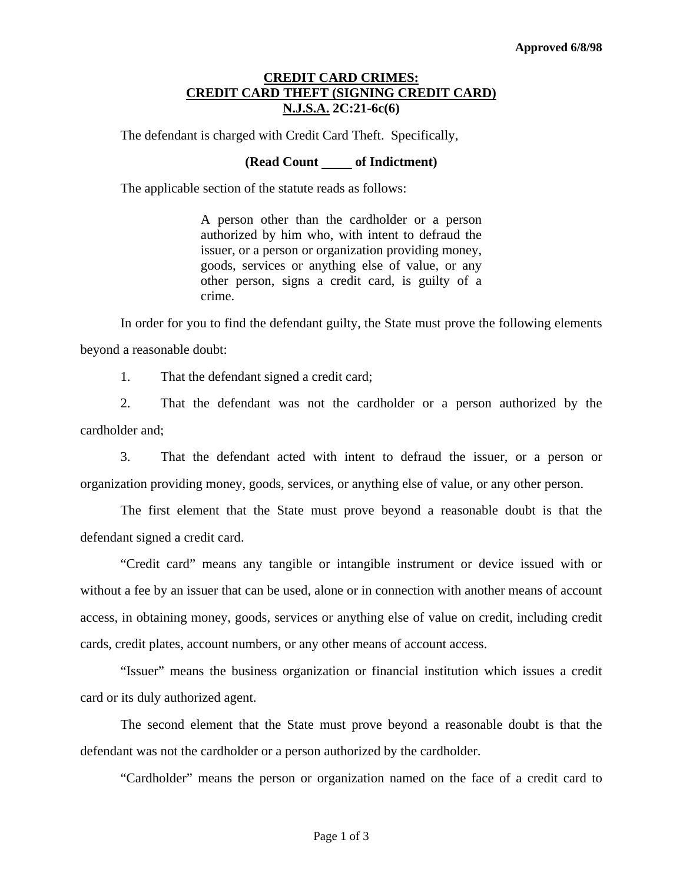## **CREDIT CARD CRIMES: CREDIT CARD THEFT (SIGNING CREDIT CARD) N.J.S.A. 2C:21-6c(6)**

The defendant is charged with Credit Card Theft. Specifically,

## **(Read Count of Indictment)**

The applicable section of the statute reads as follows:

A person other than the cardholder or a person authorized by him who, with intent to defraud the issuer, or a person or organization providing money, goods, services or anything else of value, or any other person, signs a credit card, is guilty of a crime.

 In order for you to find the defendant guilty, the State must prove the following elements beyond a reasonable doubt:

1. That the defendant signed a credit card;

 2. That the defendant was not the cardholder or a person authorized by the cardholder and;

 3. That the defendant acted with intent to defraud the issuer, or a person or organization providing money, goods, services, or anything else of value, or any other person.

 The first element that the State must prove beyond a reasonable doubt is that the defendant signed a credit card.

 "Credit card" means any tangible or intangible instrument or device issued with or without a fee by an issuer that can be used, alone or in connection with another means of account access, in obtaining money, goods, services or anything else of value on credit, including credit cards, credit plates, account numbers, or any other means of account access.

 "Issuer" means the business organization or financial institution which issues a credit card or its duly authorized agent.

<span id="page-0-0"></span> The second element that the State must prove beyond a reasonable doubt is that the defendant was not the cardholder or a person authorized by the cardholder.

"Cardholder" means the person or organization named on the face of a credit card to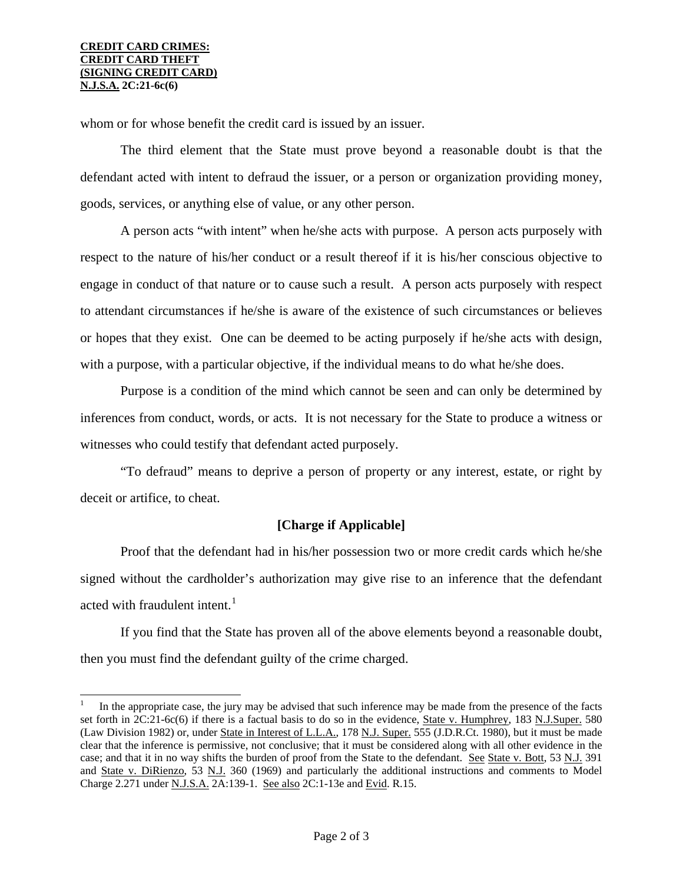$\overline{\phantom{a}}$ 

whom or for whose benefit the credit card is issued by an issuer.

 The third element that the State must prove beyond a reasonable doubt is that the defendant acted with intent to defraud the issuer, or a person or organization providing money, goods, services, or anything else of value, or any other person.

 A person acts "with intent" when he/she acts with purpose. A person acts purposely with respect to the nature of his/her conduct or a result thereof if it is his/her conscious objective to engage in conduct of that nature or to cause such a result. A person acts purposely with respect to attendant circumstances if he/she is aware of the existence of such circumstances or believes or hopes that they exist. One can be deemed to be acting purposely if he/she acts with design, with a purpose, with a particular objective, if the individual means to do what he/she does.

 Purpose is a condition of the mind which cannot be seen and can only be determined by inferences from conduct, words, or acts. It is not necessary for the State to produce a witness or witnesses who could testify that defendant acted purposely.

 "To defraud" means to deprive a person of property or any interest, estate, or right by deceit or artifice, to cheat.

## **[Charge if Applicable]**

 Proof that the defendant had in his/her possession two or more credit cards which he/she signed without the cardholder's authorization may give rise to an inference that the defendant acted with fraudulent intent. $<sup>1</sup>$  $<sup>1</sup>$  $<sup>1</sup>$ </sup>

 If you find that the State has proven all of the above elements beyond a reasonable doubt, then you must find the defendant guilty of the crime charged.

<sup>1</sup> In the appropriate case, the jury may be advised that such inference may be made from the presence of the facts set forth in 2C:21-6c(6) if there is a factual basis to do so in the evidence, State v. Humphrey, 183 N.J.Super. 580 (Law Division 1982) or, under State in Interest of L.L.A., 178 N.J. Super. 555 (J.D.R.Ct. 1980), but it must be made clear that the inference is permissive, not conclusive; that it must be considered along with all other evidence in the case; and that it in no way shifts the burden of proof from the State to the defendant. See State v. Bott, 53 N.J. 391 and State v. DiRienzo, 53 N.J. 360 (1969) and particularly the additional instructions and comments to Model Charge 2.271 under N.J.S.A. 2A:139-1. See also 2C:1-13e and Evid. R.15.